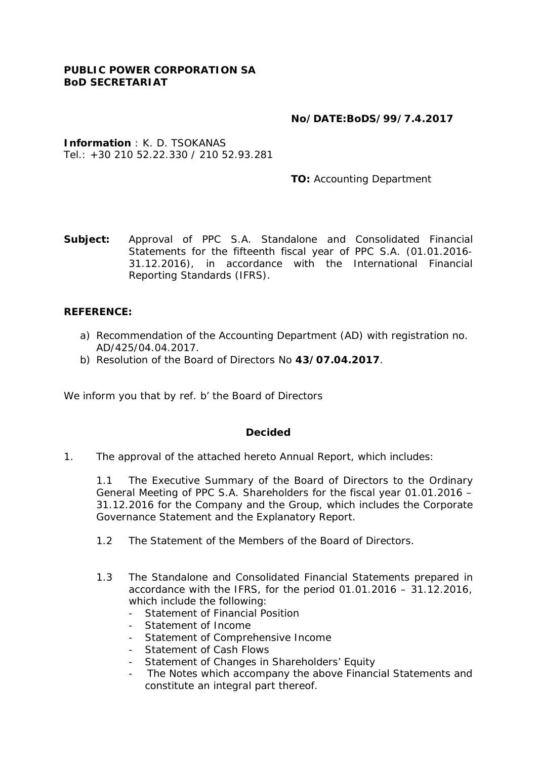## **No/DATE:BoDS/99/7.4.2017**

**Information** : K. D. TSOKANAS Tel.:  $+30.210.52.22.330$  / 210 52.93.281

 **TO:** Accounting Department

**Subject:** Approval of PPC S.A. Standalone and Consolidated Financial Statements for the fifteenth fiscal year of PPC S.A. (01.01.2016- 31.12.2016), in accordance with the International Financial Reporting Standards (IFRS).

## **REFERENCE:**

- a) Recommendation of the Accounting Department (AD) with registration no. AD/425/04.04.2017.
- b) Resolution of the Board of Directors No **43/07.04.2017**.

We inform you that by ref. b' the Board of Directors

## **Decided**

1. The approval of the attached hereto Annual Report, which includes:

1.1 The Executive Summary of the Board of Directors to the Ordinary General Meeting of PPC S.A. Shareholders for the fiscal year 01.01.2016 – 31.12.2016 for the Company and the Group, which includes the Corporate Governance Statement and the Explanatory Report.

- 1.2 The Statement of the Members of the Board of Directors.
- 1.3 The Standalone and Consolidated Financial Statements prepared in accordance with the IFRS, for the period 01.01.2016 – 31.12.2016, which include the following:
	- Statement of Financial Position
	- Statement of Income
	- Statement of Comprehensive Income
	- Statement of Cash Flows
	- Statement of Changes in Shareholders' Equity
	- The Notes which accompany the above Financial Statements and constitute an integral part thereof.